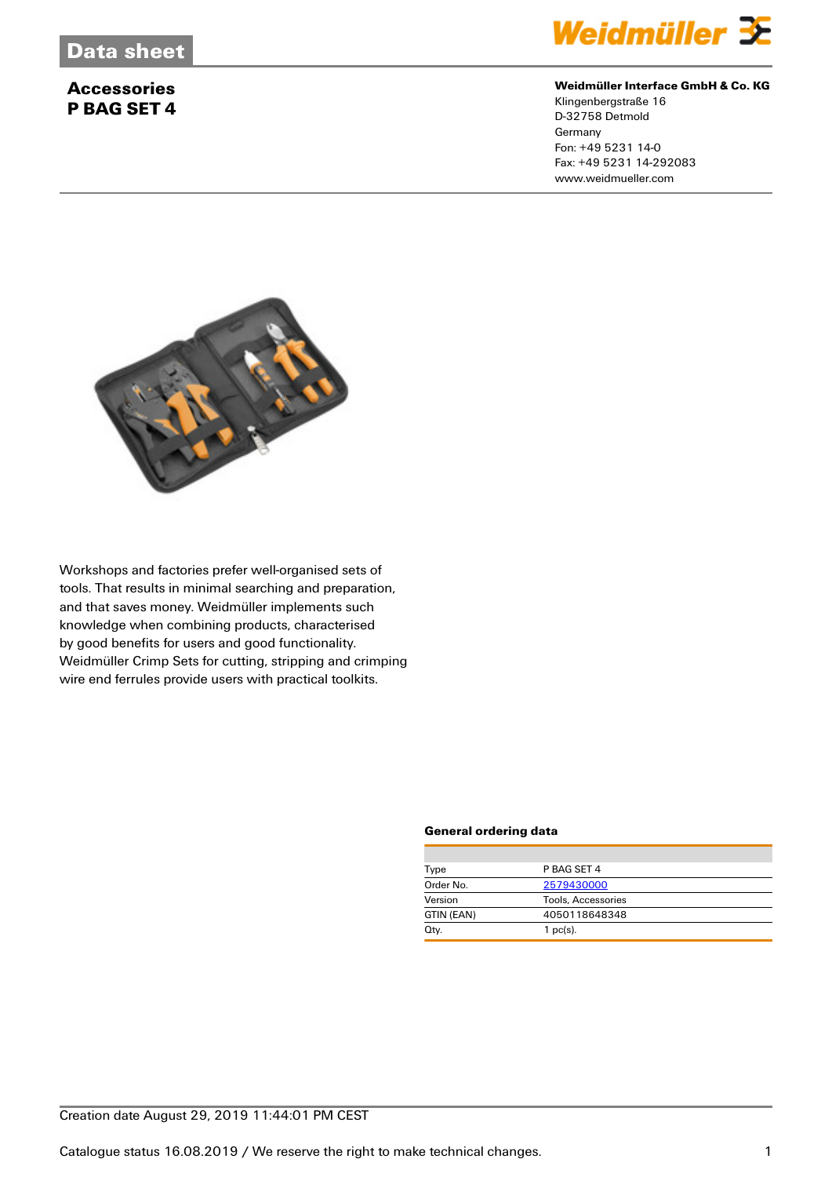# **Accessories P BAG SET 4**



#### **Weidmüller Interface GmbH & Co. KG**

Klingenbergstraße 16 D-32758 Detmold **Germany** Fon: +49 5231 14-0 Fax: +49 5231 14-292083 www.weidmueller.com



Workshops and factories prefer well-organised sets of tools. That results in minimal searching and preparation, and that saves money. Weidmüller implements such knowledge when combining products, characterised by good benefits for users and good functionality. Weidmüller Crimp Sets for cutting, stripping and crimping wire end ferrules provide users with practical toolkits.

#### **General ordering data**

| Type       | P BAG SET 4        |  |  |
|------------|--------------------|--|--|
| Order No.  | 2579430000         |  |  |
| Version    | Tools, Accessories |  |  |
| GTIN (EAN) | 4050118648348      |  |  |
| Qty.       | $1$ pc(s).         |  |  |